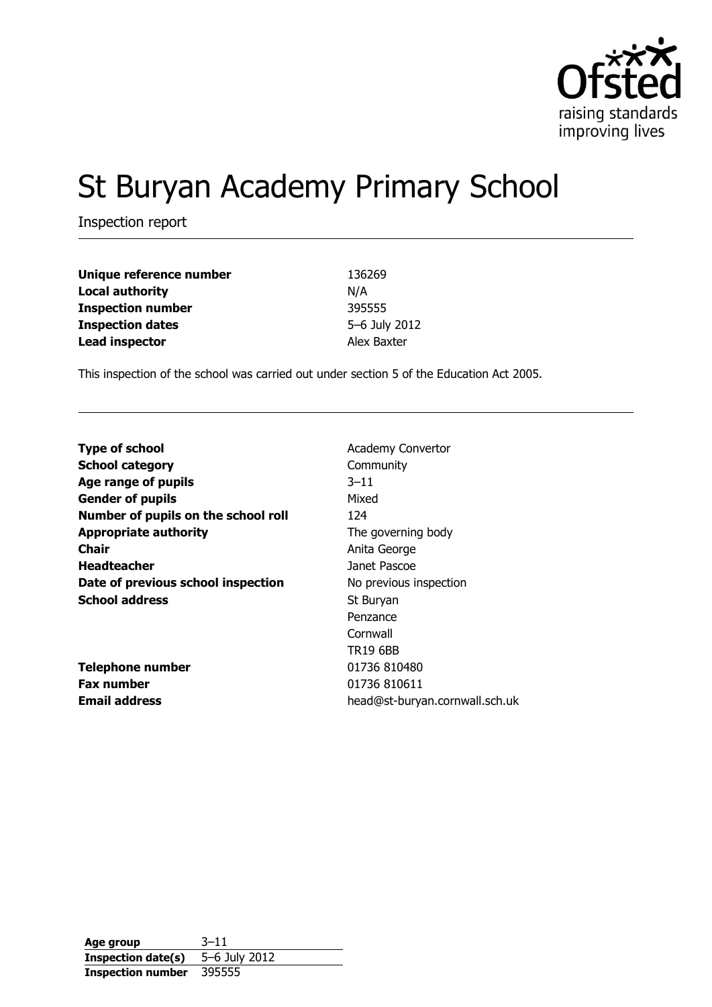

# St Buryan Academy Primary School

Inspection report

| Unique reference number  | 136269        |
|--------------------------|---------------|
| <b>Local authority</b>   | N/A           |
| <b>Inspection number</b> | 395555        |
| <b>Inspection dates</b>  | 5-6 July 2012 |
| <b>Lead inspector</b>    | Alex Baxter   |

This inspection of the school was carried out under section 5 of the Education Act 2005.

| <b>Type of school</b>               | <b>Academy Convertor</b>       |
|-------------------------------------|--------------------------------|
| <b>School category</b>              | Community                      |
| Age range of pupils                 | $3 - 11$                       |
| <b>Gender of pupils</b>             | Mixed                          |
| Number of pupils on the school roll | 124                            |
| <b>Appropriate authority</b>        | The governing body             |
| <b>Chair</b>                        | Anita George                   |
| <b>Headteacher</b>                  | Janet Pascoe                   |
| Date of previous school inspection  | No previous inspection         |
| <b>School address</b>               | St Buryan                      |
|                                     | Penzance                       |
|                                     | Cornwall                       |
|                                     | <b>TR19 6BB</b>                |
| <b>Telephone number</b>             | 01736 810480                   |
| <b>Fax number</b>                   | 01736 810611                   |
| <b>Email address</b>                | head@st-buryan.cornwall.sch.uk |

**Age group** 3–11 **Inspection date(s)** 5–6 July 2012 **Inspection number** 395555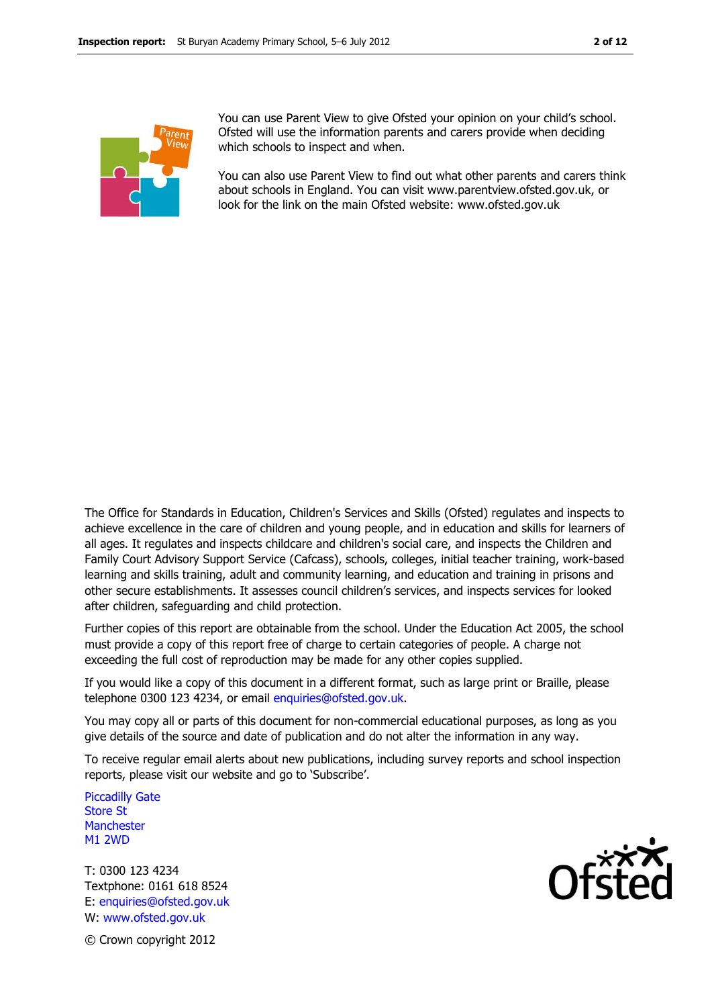

You can use Parent View to give Ofsted your opinion on your child's school. Ofsted will use the information parents and carers provide when deciding which schools to inspect and when.

You can also use Parent View to find out what other parents and carers think about schools in England. You can visit www.parentview.ofsted.gov.uk, or look for the link on the main Ofsted website: www.ofsted.gov.uk

The Office for Standards in Education, Children's Services and Skills (Ofsted) regulates and inspects to achieve excellence in the care of children and young people, and in education and skills for learners of all ages. It regulates and inspects childcare and children's social care, and inspects the Children and Family Court Advisory Support Service (Cafcass), schools, colleges, initial teacher training, work-based learning and skills training, adult and community learning, and education and training in prisons and other secure establishments. It assesses council children's services, and inspects services for looked after children, safeguarding and child protection.

Further copies of this report are obtainable from the school. Under the Education Act 2005, the school must provide a copy of this report free of charge to certain categories of people. A charge not exceeding the full cost of reproduction may be made for any other copies supplied.

If you would like a copy of this document in a different format, such as large print or Braille, please telephone 0300 123 4234, or email enquiries@ofsted.gov.uk.

You may copy all or parts of this document for non-commercial educational purposes, as long as you give details of the source and date of publication and do not alter the information in any way.

To receive regular email alerts about new publications, including survey reports and school inspection reports, please visit our website and go to 'Subscribe'.

Piccadilly Gate Store St **Manchester** M1 2WD

T: 0300 123 4234 Textphone: 0161 618 8524 E: enquiries@ofsted.gov.uk W: www.ofsted.gov.uk



© Crown copyright 2012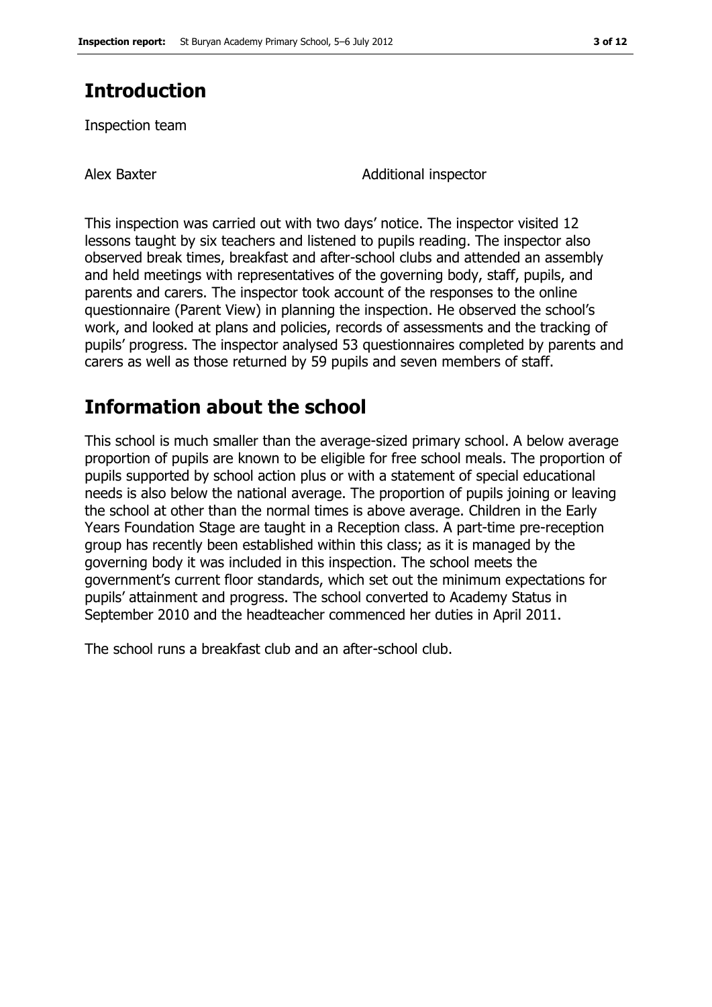# **Introduction**

Inspection team

Alex Baxter **Additional inspector** Additional inspector

This inspection was carried out with two days' notice. The inspector visited 12 lessons taught by six teachers and listened to pupils reading. The inspector also observed break times, breakfast and after-school clubs and attended an assembly and held meetings with representatives of the governing body, staff, pupils, and parents and carers. The inspector took account of the responses to the online questionnaire (Parent View) in planning the inspection. He observed the school's work, and looked at plans and policies, records of assessments and the tracking of pupils' progress. The inspector analysed 53 questionnaires completed by parents and carers as well as those returned by 59 pupils and seven members of staff.

## **Information about the school**

This school is much smaller than the average-sized primary school. A below average proportion of pupils are known to be eligible for free school meals. The proportion of pupils supported by school action plus or with a statement of special educational needs is also below the national average. The proportion of pupils joining or leaving the school at other than the normal times is above average. Children in the Early Years Foundation Stage are taught in a Reception class. A part-time pre-reception group has recently been established within this class; as it is managed by the governing body it was included in this inspection. The school meets the government's current floor standards, which set out the minimum expectations for pupils' attainment and progress. The school converted to Academy Status in September 2010 and the headteacher commenced her duties in April 2011.

The school runs a breakfast club and an after-school club.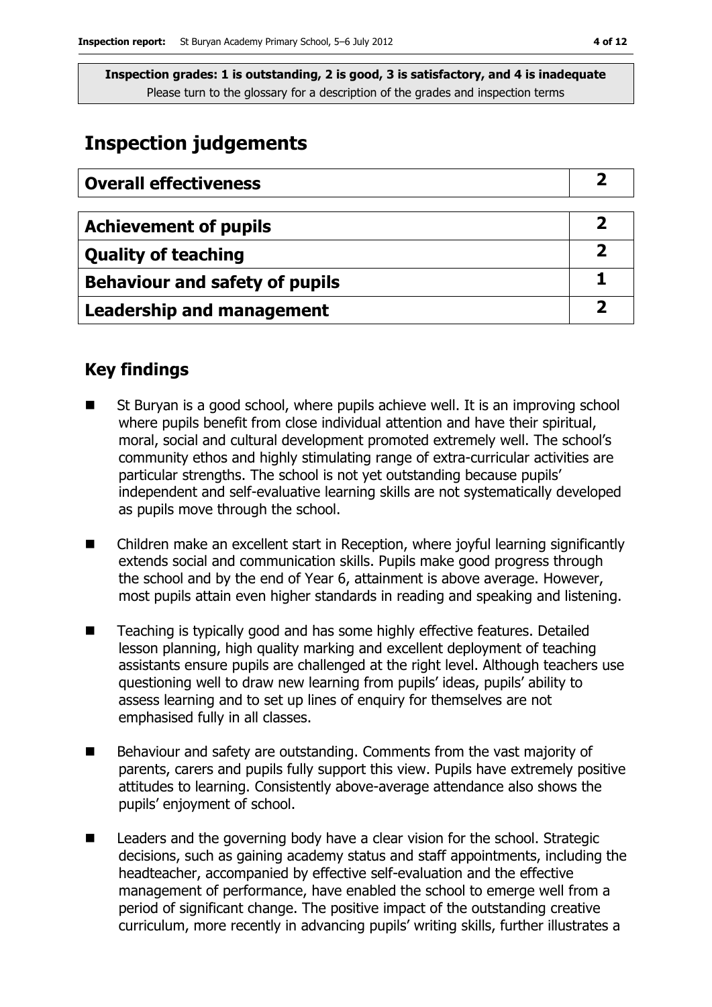# **Inspection judgements**

| <b>Overall effectiveness</b>          |  |
|---------------------------------------|--|
|                                       |  |
| <b>Achievement of pupils</b>          |  |
| <b>Quality of teaching</b>            |  |
| <b>Behaviour and safety of pupils</b> |  |
| <b>Leadership and management</b>      |  |

### **Key findings**

- St Buryan is a good school, where pupils achieve well. It is an improving school where pupils benefit from close individual attention and have their spiritual, moral, social and cultural development promoted extremely well. The school's community ethos and highly stimulating range of extra-curricular activities are particular strengths. The school is not yet outstanding because pupils' independent and self-evaluative learning skills are not systematically developed as pupils move through the school.
- Children make an excellent start in Reception, where joyful learning significantly extends social and communication skills. Pupils make good progress through the school and by the end of Year 6, attainment is above average. However, most pupils attain even higher standards in reading and speaking and listening.
- Teaching is typically good and has some highly effective features. Detailed lesson planning, high quality marking and excellent deployment of teaching assistants ensure pupils are challenged at the right level. Although teachers use questioning well to draw new learning from pupils' ideas, pupils' ability to assess learning and to set up lines of enquiry for themselves are not emphasised fully in all classes.
- Behaviour and safety are outstanding. Comments from the vast majority of parents, carers and pupils fully support this view. Pupils have extremely positive attitudes to learning. Consistently above-average attendance also shows the pupils' enjoyment of school.
- Leaders and the governing body have a clear vision for the school. Strategic decisions, such as gaining academy status and staff appointments, including the headteacher, accompanied by effective self-evaluation and the effective management of performance, have enabled the school to emerge well from a period of significant change. The positive impact of the outstanding creative curriculum, more recently in advancing pupils' writing skills, further illustrates a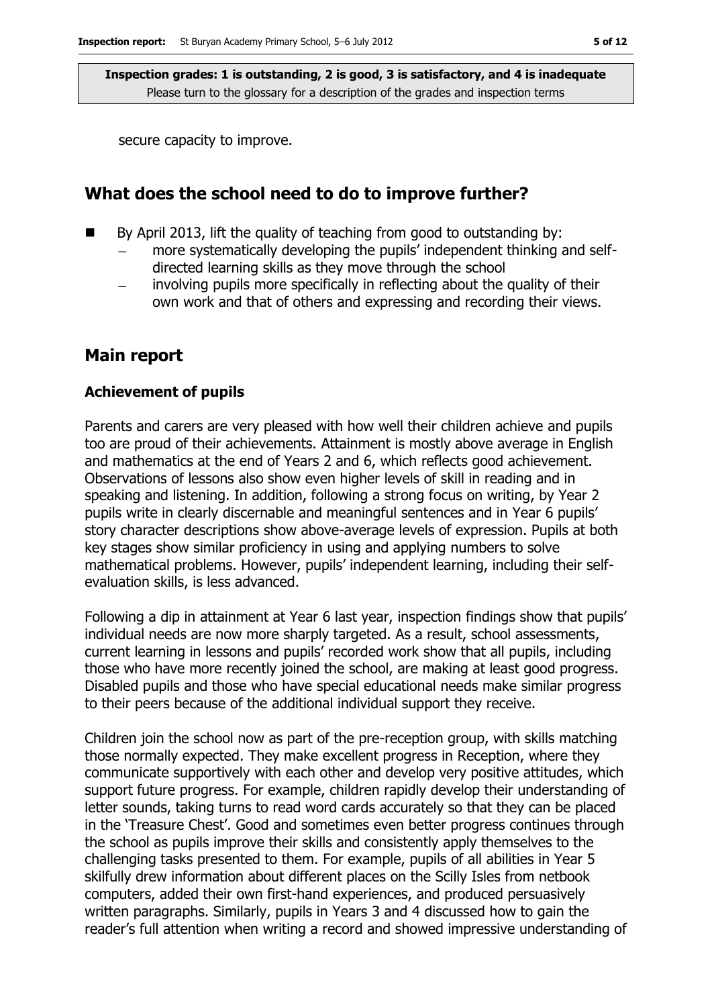secure capacity to improve.

### **What does the school need to do to improve further?**

- By April 2013, lift the quality of teaching from good to outstanding by:
	- more systematically developing the pupils' independent thinking and selfdirected learning skills as they move through the school
	- involving pupils more specifically in reflecting about the quality of their own work and that of others and expressing and recording their views.

### **Main report**

#### **Achievement of pupils**

Parents and carers are very pleased with how well their children achieve and pupils too are proud of their achievements. Attainment is mostly above average in English and mathematics at the end of Years 2 and 6, which reflects good achievement. Observations of lessons also show even higher levels of skill in reading and in speaking and listening. In addition, following a strong focus on writing, by Year 2 pupils write in clearly discernable and meaningful sentences and in Year 6 pupils' story character descriptions show above-average levels of expression. Pupils at both key stages show similar proficiency in using and applying numbers to solve mathematical problems. However, pupils' independent learning, including their selfevaluation skills, is less advanced.

Following a dip in attainment at Year 6 last year, inspection findings show that pupils' individual needs are now more sharply targeted. As a result, school assessments, current learning in lessons and pupils' recorded work show that all pupils, including those who have more recently joined the school, are making at least good progress. Disabled pupils and those who have special educational needs make similar progress to their peers because of the additional individual support they receive.

Children join the school now as part of the pre-reception group, with skills matching those normally expected. They make excellent progress in Reception, where they communicate supportively with each other and develop very positive attitudes, which support future progress. For example, children rapidly develop their understanding of letter sounds, taking turns to read word cards accurately so that they can be placed in the 'Treasure Chest'. Good and sometimes even better progress continues through the school as pupils improve their skills and consistently apply themselves to the challenging tasks presented to them. For example, pupils of all abilities in Year 5 skilfully drew information about different places on the Scilly Isles from netbook computers, added their own first-hand experiences, and produced persuasively written paragraphs. Similarly, pupils in Years 3 and 4 discussed how to gain the reader's full attention when writing a record and showed impressive understanding of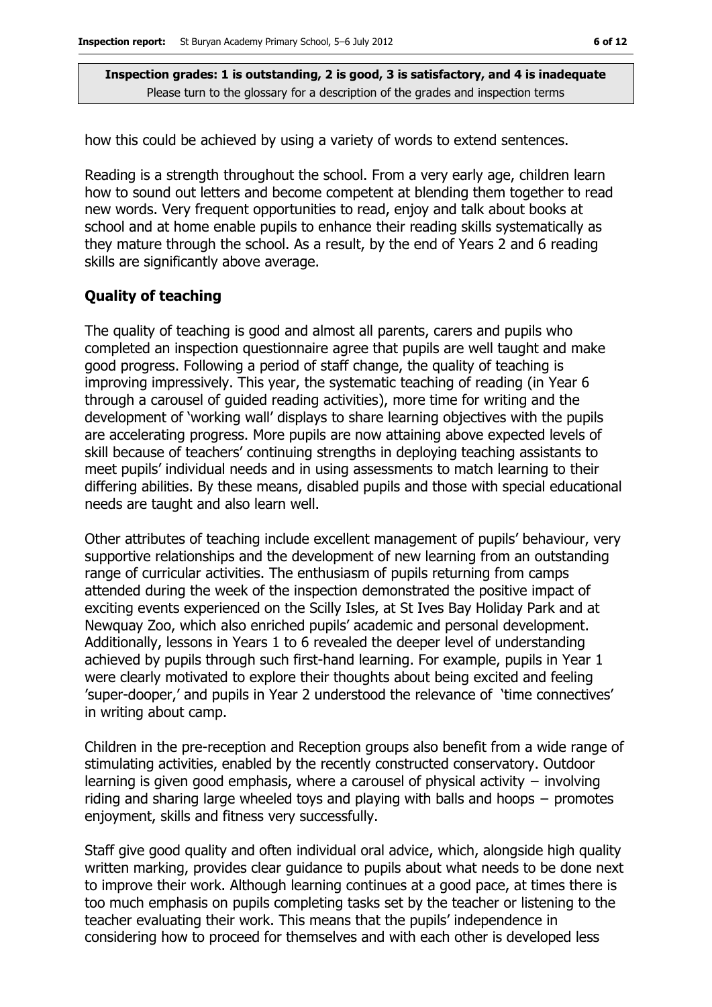how this could be achieved by using a variety of words to extend sentences.

Reading is a strength throughout the school. From a very early age, children learn how to sound out letters and become competent at blending them together to read new words. Very frequent opportunities to read, enjoy and talk about books at school and at home enable pupils to enhance their reading skills systematically as they mature through the school. As a result, by the end of Years 2 and 6 reading skills are significantly above average.

#### **Quality of teaching**

The quality of teaching is good and almost all parents, carers and pupils who completed an inspection questionnaire agree that pupils are well taught and make good progress. Following a period of staff change, the quality of teaching is improving impressively. This year, the systematic teaching of reading (in Year 6 through a carousel of guided reading activities), more time for writing and the development of 'working wall' displays to share learning objectives with the pupils are accelerating progress. More pupils are now attaining above expected levels of skill because of teachers' continuing strengths in deploying teaching assistants to meet pupils' individual needs and in using assessments to match learning to their differing abilities. By these means, disabled pupils and those with special educational needs are taught and also learn well.

Other attributes of teaching include excellent management of pupils' behaviour, very supportive relationships and the development of new learning from an outstanding range of curricular activities. The enthusiasm of pupils returning from camps attended during the week of the inspection demonstrated the positive impact of exciting events experienced on the Scilly Isles, at St Ives Bay Holiday Park and at Newquay Zoo, which also enriched pupils' academic and personal development. Additionally, lessons in Years 1 to 6 revealed the deeper level of understanding achieved by pupils through such first-hand learning. For example, pupils in Year 1 were clearly motivated to explore their thoughts about being excited and feeling 'super-dooper,' and pupils in Year 2 understood the relevance of 'time connectives' in writing about camp.

Children in the pre-reception and Reception groups also benefit from a wide range of stimulating activities, enabled by the recently constructed conservatory. Outdoor learning is given good emphasis, where a carousel of physical activity − involving riding and sharing large wheeled toys and playing with balls and hoops − promotes enjoyment, skills and fitness very successfully.

Staff give good quality and often individual oral advice, which, alongside high quality written marking, provides clear guidance to pupils about what needs to be done next to improve their work. Although learning continues at a good pace, at times there is too much emphasis on pupils completing tasks set by the teacher or listening to the teacher evaluating their work. This means that the pupils' independence in considering how to proceed for themselves and with each other is developed less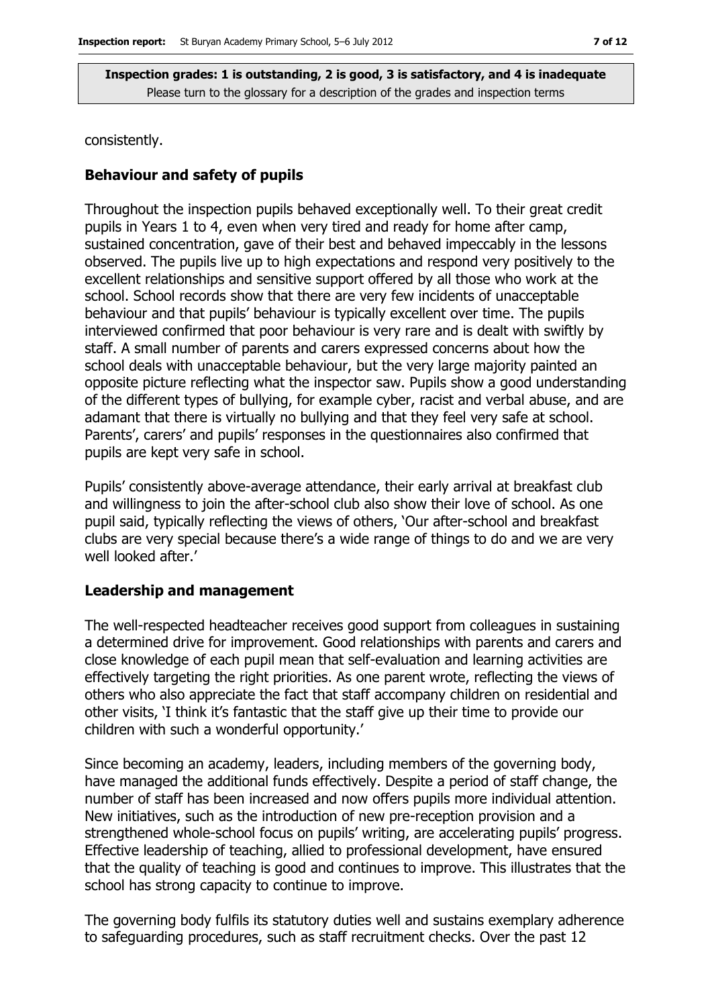consistently.

#### **Behaviour and safety of pupils**

Throughout the inspection pupils behaved exceptionally well. To their great credit pupils in Years 1 to 4, even when very tired and ready for home after camp, sustained concentration, gave of their best and behaved impeccably in the lessons observed. The pupils live up to high expectations and respond very positively to the excellent relationships and sensitive support offered by all those who work at the school. School records show that there are very few incidents of unacceptable behaviour and that pupils' behaviour is typically excellent over time. The pupils interviewed confirmed that poor behaviour is very rare and is dealt with swiftly by staff. A small number of parents and carers expressed concerns about how the school deals with unacceptable behaviour, but the very large majority painted an opposite picture reflecting what the inspector saw. Pupils show a good understanding of the different types of bullying, for example cyber, racist and verbal abuse, and are adamant that there is virtually no bullying and that they feel very safe at school. Parents', carers' and pupils' responses in the questionnaires also confirmed that pupils are kept very safe in school.

Pupils' consistently above-average attendance, their early arrival at breakfast club and willingness to join the after-school club also show their love of school. As one pupil said, typically reflecting the views of others, 'Our after-school and breakfast clubs are very special because there's a wide range of things to do and we are very well looked after.'

#### **Leadership and management**

The well-respected headteacher receives good support from colleagues in sustaining a determined drive for improvement. Good relationships with parents and carers and close knowledge of each pupil mean that self-evaluation and learning activities are effectively targeting the right priorities. As one parent wrote, reflecting the views of others who also appreciate the fact that staff accompany children on residential and other visits, 'I think it's fantastic that the staff give up their time to provide our children with such a wonderful opportunity.'

Since becoming an academy, leaders, including members of the governing body, have managed the additional funds effectively. Despite a period of staff change, the number of staff has been increased and now offers pupils more individual attention. New initiatives, such as the introduction of new pre-reception provision and a strengthened whole-school focus on pupils' writing, are accelerating pupils' progress. Effective leadership of teaching, allied to professional development, have ensured that the quality of teaching is good and continues to improve. This illustrates that the school has strong capacity to continue to improve.

The governing body fulfils its statutory duties well and sustains exemplary adherence to safeguarding procedures, such as staff recruitment checks. Over the past 12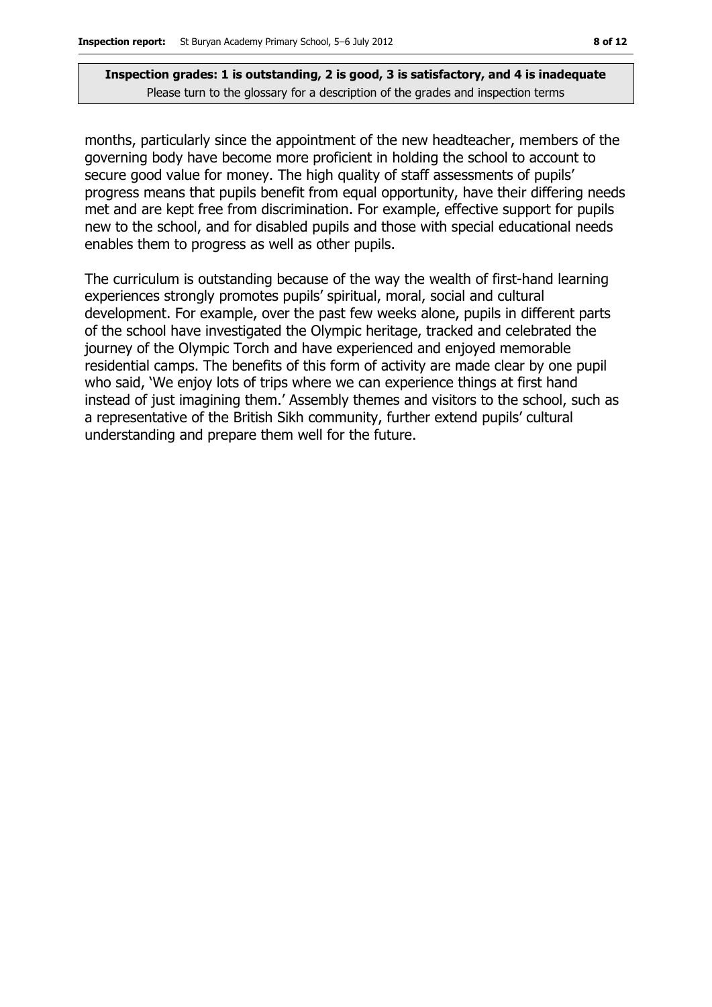months, particularly since the appointment of the new headteacher, members of the governing body have become more proficient in holding the school to account to secure good value for money. The high quality of staff assessments of pupils' progress means that pupils benefit from equal opportunity, have their differing needs met and are kept free from discrimination. For example, effective support for pupils new to the school, and for disabled pupils and those with special educational needs enables them to progress as well as other pupils.

The curriculum is outstanding because of the way the wealth of first-hand learning experiences strongly promotes pupils' spiritual, moral, social and cultural development. For example, over the past few weeks alone, pupils in different parts of the school have investigated the Olympic heritage, tracked and celebrated the journey of the Olympic Torch and have experienced and enjoyed memorable residential camps. The benefits of this form of activity are made clear by one pupil who said, 'We enjoy lots of trips where we can experience things at first hand instead of just imagining them.' Assembly themes and visitors to the school, such as a representative of the British Sikh community, further extend pupils' cultural understanding and prepare them well for the future.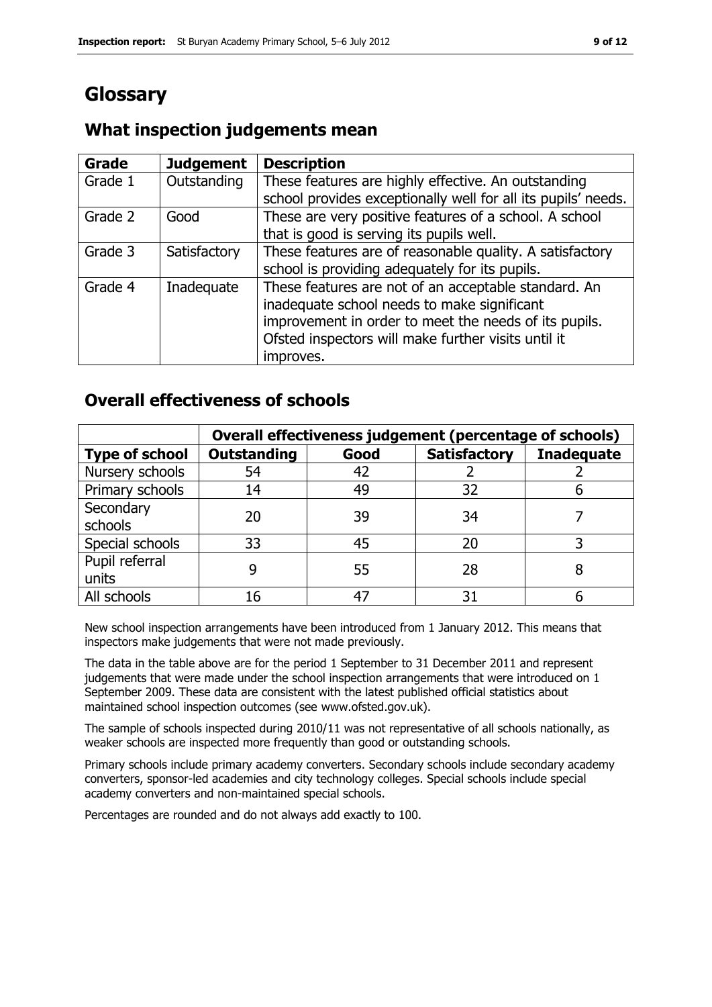# **Glossary**

#### **Grade Judgement Description** Grade  $1$  | Outstanding | These features are highly effective. An outstanding school provides exceptionally well for all its pupils' needs. Grade 2  $\Box$  Good These are very positive features of a school. A school that is good is serving its pupils well. Grade 3  $\parallel$  Satisfactory  $\parallel$  These features are of reasonable quality. A satisfactory school is providing adequately for its pupils. Grade 4 | Inadequate | These features are not of an acceptable standard. An inadequate school needs to make significant improvement in order to meet the needs of its pupils. Ofsted inspectors will make further visits until it improves.

### **What inspection judgements mean**

### **Overall effectiveness of schools**

|                         | Overall effectiveness judgement (percentage of schools) |      |                     |                   |
|-------------------------|---------------------------------------------------------|------|---------------------|-------------------|
| <b>Type of school</b>   | <b>Outstanding</b>                                      | Good | <b>Satisfactory</b> | <b>Inadequate</b> |
| Nursery schools         | 54                                                      | 42   |                     |                   |
| Primary schools         | 14                                                      | 49   | 32                  |                   |
| Secondary<br>schools    | 20                                                      | 39   | 34                  |                   |
| Special schools         | 33                                                      | 45   | 20                  |                   |
| Pupil referral<br>units |                                                         | 55   | 28                  |                   |
| All schools             | 16                                                      | 47   | 31                  |                   |

New school inspection arrangements have been introduced from 1 January 2012. This means that inspectors make judgements that were not made previously.

The data in the table above are for the period 1 September to 31 December 2011 and represent judgements that were made under the school inspection arrangements that were introduced on 1 September 2009. These data are consistent with the latest published official statistics about maintained school inspection outcomes (see www.ofsted.gov.uk).

The sample of schools inspected during 2010/11 was not representative of all schools nationally, as weaker schools are inspected more frequently than good or outstanding schools.

Primary schools include primary academy converters. Secondary schools include secondary academy converters, sponsor-led academies and city technology colleges. Special schools include special academy converters and non-maintained special schools.

Percentages are rounded and do not always add exactly to 100.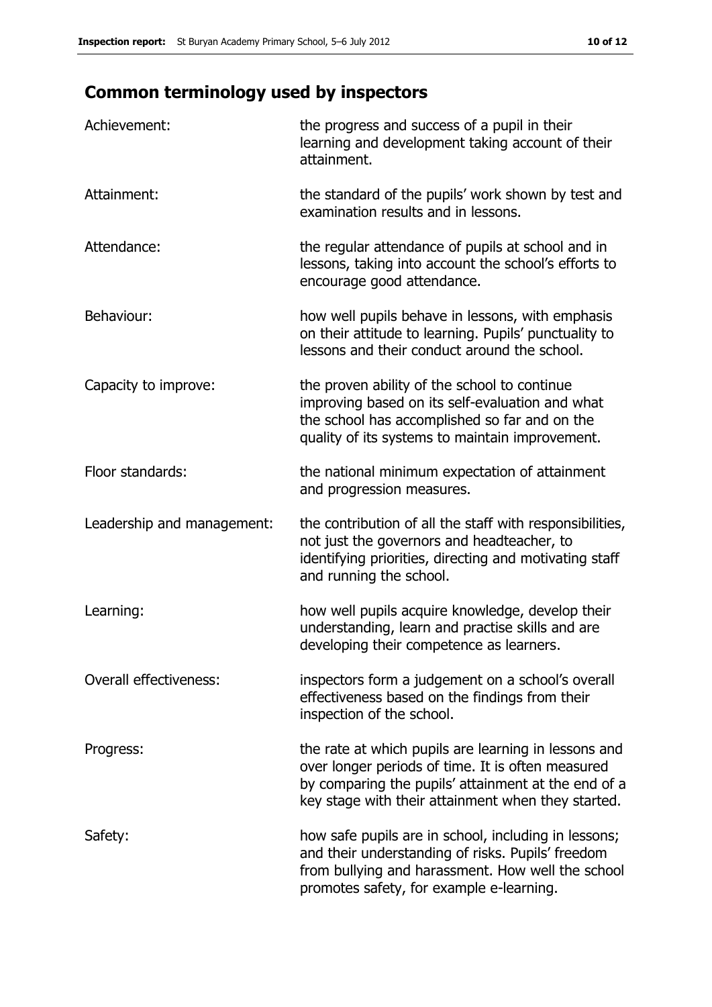# **Common terminology used by inspectors**

| Achievement:                  | the progress and success of a pupil in their<br>learning and development taking account of their<br>attainment.                                                                                                        |
|-------------------------------|------------------------------------------------------------------------------------------------------------------------------------------------------------------------------------------------------------------------|
| Attainment:                   | the standard of the pupils' work shown by test and<br>examination results and in lessons.                                                                                                                              |
| Attendance:                   | the regular attendance of pupils at school and in<br>lessons, taking into account the school's efforts to<br>encourage good attendance.                                                                                |
| Behaviour:                    | how well pupils behave in lessons, with emphasis<br>on their attitude to learning. Pupils' punctuality to<br>lessons and their conduct around the school.                                                              |
| Capacity to improve:          | the proven ability of the school to continue<br>improving based on its self-evaluation and what<br>the school has accomplished so far and on the<br>quality of its systems to maintain improvement.                    |
| Floor standards:              | the national minimum expectation of attainment<br>and progression measures.                                                                                                                                            |
| Leadership and management:    | the contribution of all the staff with responsibilities,<br>not just the governors and headteacher, to<br>identifying priorities, directing and motivating staff<br>and running the school.                            |
| Learning:                     | how well pupils acquire knowledge, develop their<br>understanding, learn and practise skills and are<br>developing their competence as learners.                                                                       |
| <b>Overall effectiveness:</b> | inspectors form a judgement on a school's overall<br>effectiveness based on the findings from their<br>inspection of the school.                                                                                       |
| Progress:                     | the rate at which pupils are learning in lessons and<br>over longer periods of time. It is often measured<br>by comparing the pupils' attainment at the end of a<br>key stage with their attainment when they started. |
| Safety:                       | how safe pupils are in school, including in lessons;<br>and their understanding of risks. Pupils' freedom<br>from bullying and harassment. How well the school<br>promotes safety, for example e-learning.             |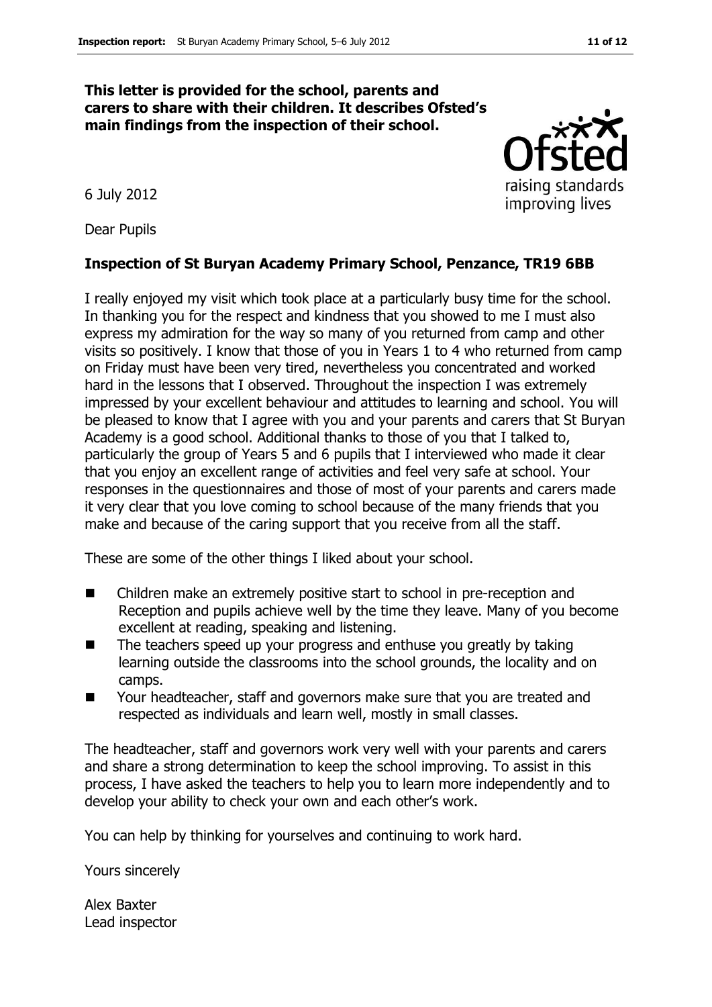#### **This letter is provided for the school, parents and carers to share with their children. It describes Ofsted's main findings from the inspection of their school.**

raising standards improving lives

6 July 2012

Dear Pupils

#### **Inspection of St Buryan Academy Primary School, Penzance, TR19 6BB**

I really enjoyed my visit which took place at a particularly busy time for the school. In thanking you for the respect and kindness that you showed to me I must also express my admiration for the way so many of you returned from camp and other visits so positively. I know that those of you in Years 1 to 4 who returned from camp on Friday must have been very tired, nevertheless you concentrated and worked hard in the lessons that I observed. Throughout the inspection I was extremely impressed by your excellent behaviour and attitudes to learning and school. You will be pleased to know that I agree with you and your parents and carers that St Buryan Academy is a good school. Additional thanks to those of you that I talked to, particularly the group of Years 5 and 6 pupils that I interviewed who made it clear that you enjoy an excellent range of activities and feel very safe at school. Your responses in the questionnaires and those of most of your parents and carers made it very clear that you love coming to school because of the many friends that you make and because of the caring support that you receive from all the staff.

These are some of the other things I liked about your school.

- Children make an extremely positive start to school in pre-reception and Reception and pupils achieve well by the time they leave. Many of you become excellent at reading, speaking and listening.
- $\blacksquare$  The teachers speed up your progress and enthuse you greatly by taking learning outside the classrooms into the school grounds, the locality and on camps.
- Your headteacher, staff and governors make sure that you are treated and respected as individuals and learn well, mostly in small classes.

The headteacher, staff and governors work very well with your parents and carers and share a strong determination to keep the school improving. To assist in this process, I have asked the teachers to help you to learn more independently and to develop your ability to check your own and each other's work.

You can help by thinking for yourselves and continuing to work hard.

Yours sincerely

Alex Baxter Lead inspector